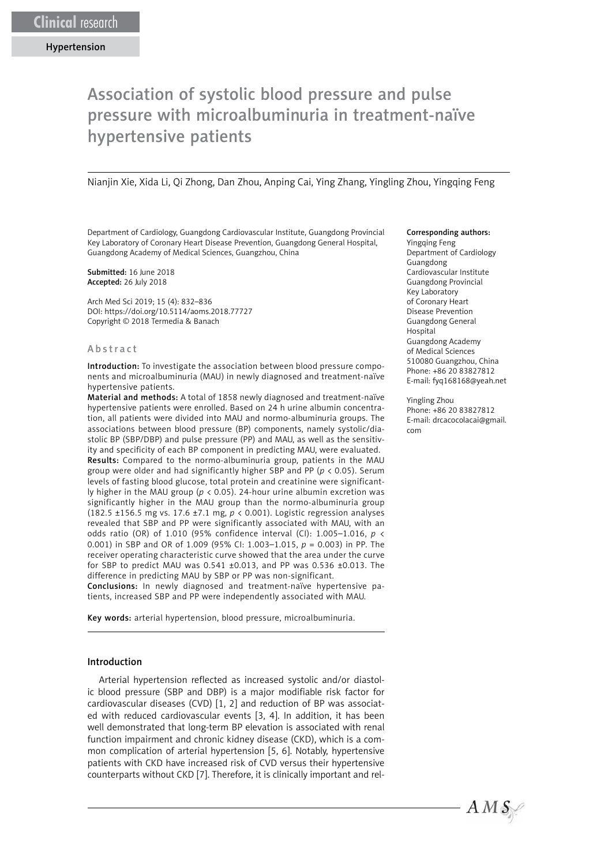# Association of systolic blood pressure and pulse pressure with microalbuminuria in treatment-naïve hypertensive patients

Nianjin Xie, Xida Li, Qi Zhong, Dan Zhou, Anping Cai, Ying Zhang, Yingling Zhou, Yingqing Feng

Department of Cardiology, Guangdong Cardiovascular Institute, Guangdong Provincial Key Laboratory of Coronary Heart Disease Prevention, Guangdong General Hospital, Guangdong Academy of Medical Sciences, Guangzhou, China

Submitted: 16 June 2018 Accepted: 26 July 2018

Arch Med Sci 2019; 15 (4): 832–836 DOI: https://doi.org/10.5114/aoms.2018.77727 Copyright © 2018 Termedia & Banach

#### Abstract

Introduction: To investigate the association between blood pressure components and microalbuminuria (MAU) in newly diagnosed and treatment-naïve hypertensive patients.

Material and methods: A total of 1858 newly diagnosed and treatment-naïve hypertensive patients were enrolled. Based on 24 h urine albumin concentration, all patients were divided into MAU and normo-albuminuria groups. The associations between blood pressure (BP) components, namely systolic/diastolic BP (SBP/DBP) and pulse pressure (PP) and MAU, as well as the sensitivity and specificity of each BP component in predicting MAU, were evaluated. Results: Compared to the normo-albuminuria group, patients in the MAU group were older and had significantly higher SBP and PP (*p* < 0.05). Serum levels of fasting blood glucose, total protein and creatinine were significantly higher in the MAU group (*p* < 0.05). 24-hour urine albumin excretion was significantly higher in the MAU group than the normo-albuminuria group (182.5 ±156.5 mg vs. 17.6 ±7.1 mg, *p* < 0.001). Logistic regression analyses revealed that SBP and PP were significantly associated with MAU, with an odds ratio (OR) of 1.010 (95% confidence interval (CI): 1.005–1.016, *p* < 0.001) in SBP and OR of 1.009 (95% CI: 1.003–1.015, *p* = 0.003) in PP. The receiver operating characteristic curve showed that the area under the curve for SBP to predict MAU was 0.541 ±0.013, and PP was 0.536 ±0.013. The difference in predicting MAU by SBP or PP was non-significant.

Conclusions: In newly diagnosed and treatment-naïve hypertensive patients, increased SBP and PP were independently associated with MAU.

Key words: arterial hypertension, blood pressure, microalbuminuria.

### Introduction

Arterial hypertension reflected as increased systolic and/or diastolic blood pressure (SBP and DBP) is a major modifiable risk factor for cardiovascular diseases (CVD) [1, 2] and reduction of BP was associated with reduced cardiovascular events [3, 4]. In addition, it has been well demonstrated that long-term BP elevation is associated with renal function impairment and chronic kidney disease (CKD), which is a common complication of arterial hypertension [5, 6]. Notably, hypertensive patients with CKD have increased risk of CVD versus their hypertensive counterparts without CKD [7]. Therefore, it is clinically important and rel-

#### Corresponding authors:

Yingqing Feng Department of Cardiology Guangdong Cardiovascular Institute Guangdong Provincial Key Laboratory of Coronary Heart Disease Prevention Guangdong General Hospital Guangdong Academy of Medical Sciences 510080 Guangzhou, China Phone: +86 20 83827812 E-mail: fyq168168@yeah.net

Yingling Zhou Phone: +86 20 83827812 E-mail: drcacocolacai@gmail. com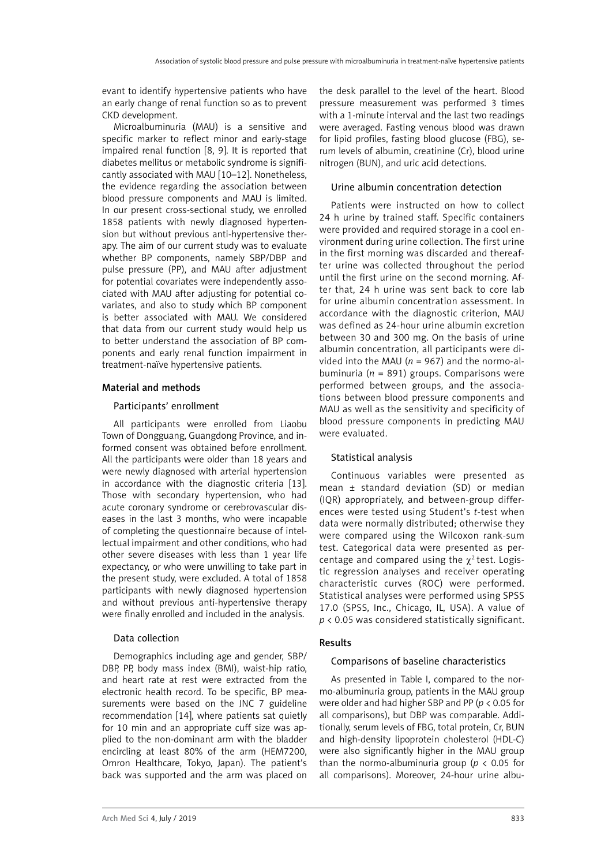evant to identify hypertensive patients who have an early change of renal function so as to prevent CKD development.

Microalbuminuria (MAU) is a sensitive and specific marker to reflect minor and early-stage impaired renal function [8, 9]. It is reported that diabetes mellitus or metabolic syndrome is significantly associated with MAU [10–12]. Nonetheless, the evidence regarding the association between blood pressure components and MAU is limited. In our present cross-sectional study, we enrolled 1858 patients with newly diagnosed hypertension but without previous anti-hypertensive therapy. The aim of our current study was to evaluate whether BP components, namely SBP/DBP and pulse pressure (PP), and MAU after adjustment for potential covariates were independently associated with MAU after adjusting for potential covariates, and also to study which BP component is better associated with MAU. We considered that data from our current study would help us to better understand the association of BP components and early renal function impairment in treatment-naïve hypertensive patients.

## Material and methods

### Participants' enrollment

All participants were enrolled from Liaobu Town of Dongguang, Guangdong Province, and informed consent was obtained before enrollment. All the participants were older than 18 years and were newly diagnosed with arterial hypertension in accordance with the diagnostic criteria [13]. Those with secondary hypertension, who had acute coronary syndrome or cerebrovascular diseases in the last 3 months, who were incapable of completing the questionnaire because of intellectual impairment and other conditions, who had other severe diseases with less than 1 year life expectancy, or who were unwilling to take part in the present study, were excluded. A total of 1858 participants with newly diagnosed hypertension and without previous anti-hypertensive therapy were finally enrolled and included in the analysis.

## Data collection

Demographics including age and gender, SBP/ DBP, PP, body mass index (BMI), waist-hip ratio, and heart rate at rest were extracted from the electronic health record. To be specific, BP measurements were based on the JNC 7 guideline recommendation [14], where patients sat quietly for 10 min and an appropriate cuff size was applied to the non-dominant arm with the bladder encircling at least 80% of the arm (HEM7200, Omron Healthcare, Tokyo, Japan). The patient's back was supported and the arm was placed on the desk parallel to the level of the heart. Blood pressure measurement was performed 3 times with a 1-minute interval and the last two readings were averaged. Fasting venous blood was drawn for lipid profiles, fasting blood glucose (FBG), serum levels of albumin, creatinine (Cr), blood urine nitrogen (BUN), and uric acid detections.

## Urine albumin concentration detection

Patients were instructed on how to collect 24 h urine by trained staff. Specific containers were provided and required storage in a cool environment during urine collection. The first urine in the first morning was discarded and thereafter urine was collected throughout the period until the first urine on the second morning. After that, 24 h urine was sent back to core lab for urine albumin concentration assessment. In accordance with the diagnostic criterion, MAU was defined as 24-hour urine albumin excretion between 30 and 300 mg. On the basis of urine albumin concentration, all participants were divided into the MAU ( $n = 967$ ) and the normo-albuminuria (*n* = 891) groups. Comparisons were performed between groups, and the associations between blood pressure components and MAU as well as the sensitivity and specificity of blood pressure components in predicting MAU were evaluated.

# Statistical analysis

Continuous variables were presented as mean ± standard deviation (SD) or median (IQR) appropriately, and between-group differences were tested using Student's *t*-test when data were normally distributed; otherwise they were compared using the Wilcoxon rank-sum test. Categorical data were presented as percentage and compared using the  $\gamma^2$  test. Logistic regression analyses and receiver operating characteristic curves (ROC) were performed. Statistical analyses were performed using SPSS 17.0 (SPSS, Inc., Chicago, IL, USA). A value of *p* < 0.05 was considered statistically significant.

### Results

# Comparisons of baseline characteristics

As presented in Table I, compared to the normo-albuminuria group, patients in the MAU group were older and had higher SBP and PP (*p* < 0.05 for all comparisons), but DBP was comparable. Additionally, serum levels of FBG, total protein, Cr, BUN and high-density lipoprotein cholesterol (HDL-C) were also significantly higher in the MAU group than the normo-albuminuria group (*p* < 0.05 for all comparisons). Moreover, 24-hour urine albu-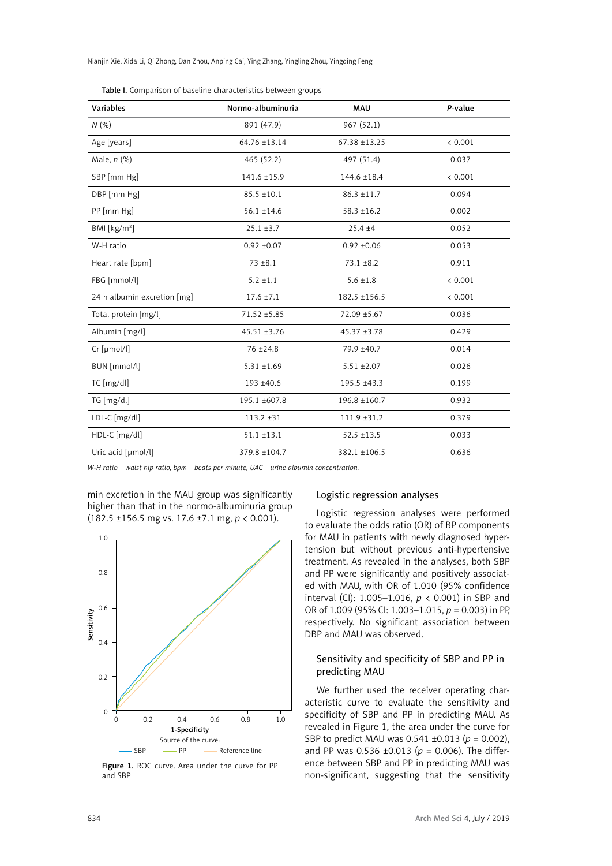| Variables                   | Normo-albuminuria | <b>MAU</b>        | P-value |
|-----------------------------|-------------------|-------------------|---------|
| N(%)                        | 891 (47.9)        | 967 (52.1)        |         |
| Age [years]                 | 64.76 ±13.14      | $67.38 \pm 13.25$ | < 0.001 |
| Male, n (%)                 | 465 (52.2)        | 497 (51.4)        | 0.037   |
| SBP [mm Hg]                 | $141.6 \pm 15.9$  | $144.6 \pm 18.4$  | < 0.001 |
| DBP [mm Hg]                 | $85.5 \pm 10.1$   | $86.3 \pm 11.7$   | 0.094   |
| PP [mm Hg]                  | $56.1 \pm 14.6$   | $58.3 \pm 16.2$   | 0.002   |
| BMI [kg/m <sup>2</sup> ]    | $25.1 \pm 3.7$    | $25.4 + 4$        | 0.052   |
| W-H ratio                   | $0.92 \pm 0.07$   | $0.92 \pm 0.06$   | 0.053   |
| Heart rate [bpm]            | $73 + 8.1$        | $73.1 \pm 8.2$    | 0.911   |
| FBG [mmol/l]                | $5.2 \pm 1.1$     | $5.6 \pm 1.8$     | < 0.001 |
| 24 h albumin excretion [mg] | $17.6 \pm 7.1$    | 182.5 ±156.5      | < 0.001 |
| Total protein [mg/l]        | 71.52 ±5.85       | 72.09 ±5.67       | 0.036   |
| Albumin [mg/l]              | $45.51 \pm 3.76$  | $45.37 + 3.78$    | 0.429   |
| Cr [µmol/l]                 | $76 + 24.8$       | 79.9 ±40.7        | 0.014   |
| BUN [mmol/l]                | $5.31 + 1.69$     | $5.51 \pm 2.07$   | 0.026   |
| TC [mg/dl]                  | 193 ±40.6         | 195.5 ±43.3       | 0.199   |
| TG [mg/dl]                  | 195.1 ±607.8      | 196.8 ±160.7      | 0.932   |
| LDL-C [mg/dl]               | $113.2 + 31$      | $111.9 \pm 31.2$  | 0.379   |
| HDL-C [mg/dl]               | $51.1 \pm 13.1$   | $52.5 \pm 13.5$   | 0.033   |
| Uric acid [µmol/l]          | 379.8 ±104.7      | 382.1 ±106.5      | 0.636   |

Table I. Comparison of baseline characteristics between groups

*W-H ratio – waist hip ratio, bpm – beats per minute, UAC – urine albumin concentration.*

min excretion in the MAU group was significantly higher than that in the normo-albuminuria group (182.5 ±156.5 mg vs. 17.6 ±7.1 mg, *p* < 0.001).



Figure 1. ROC curve. Area under the curve for PP and SBP

## Logistic regression analyses

Logistic regression analyses were performed to evaluate the odds ratio (OR) of BP components for MAU in patients with newly diagnosed hypertension but without previous anti-hypertensive treatment. As revealed in the analyses, both SBP and PP were significantly and positively associated with MAU, with OR of 1.010 (95% confidence interval (CI): 1.005–1.016, *p* < 0.001) in SBP and OR of 1.009 (95% CI: 1.003–1.015, *p* = 0.003) in PP, respectively. No significant association between DBP and MAU was observed.

# Sensitivity and specificity of SBP and PP in predicting MAU

We further used the receiver operating characteristic curve to evaluate the sensitivity and specificity of SBP and PP in predicting MAU. As revealed in Figure 1, the area under the curve for SBP to predict MAU was 0.541 ±0.013 (*p* = 0.002), and PP was  $0.536 \pm 0.013$  ( $p = 0.006$ ). The difference between SBP and PP in predicting MAU was non-significant, suggesting that the sensitivity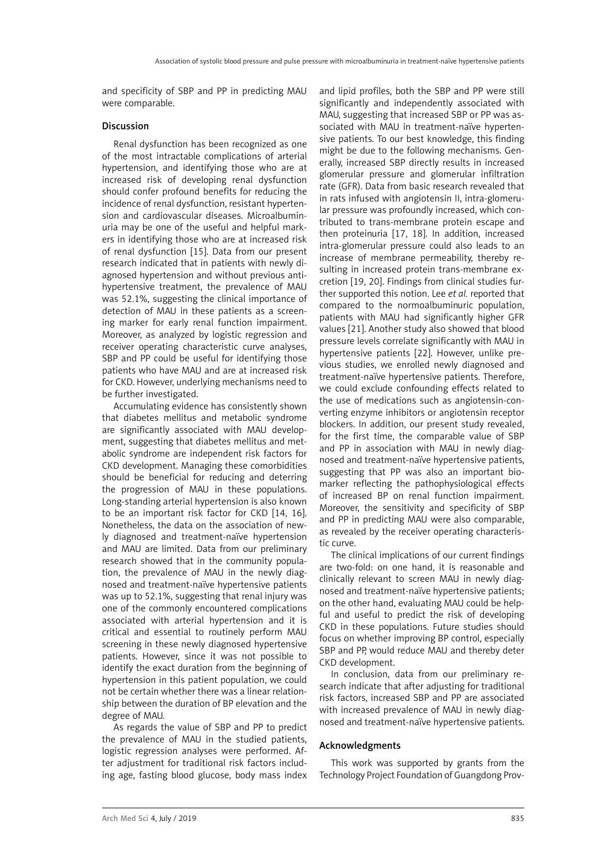and specificity of SBP and PP in predicting MAU were comparable.

# Discussion

Renal dysfunction has been recognized as one of the most intractable complications of arterial hypertension, and identifying those who are at increased risk of developing renal dysfunction should confer profound benefits for reducing the incidence of renal dysfunction, resistant hypertension and cardiovascular diseases. Microalbuminuria may be one of the useful and helpful markers in identifying those who are at increased risk of renal dysfunction [15]. Data from our present research indicated that in patients with newly diagnosed hypertension and without previous antihypertensive treatment, the prevalence of MAU was 52.1%, suggesting the clinical importance of detection of MAU in these patients as a screening marker for early renal function impairment. Moreover, as analyzed by logistic regression and receiver operating characteristic curve analyses, SBP and PP could be useful for identifying those patients who have MAU and are at increased risk for CKD. However, underlying mechanisms need to be further investigated.

Accumulating evidence has consistently shown that diabetes mellitus and metabolic syndrome are significantly associated with MAU development, suggesting that diabetes mellitus and metabolic syndrome are independent risk factors for CKD development. Managing these comorbidities should be beneficial for reducing and deterring the progression of MAU in these populations. Long-standing arterial hypertension is also known to be an important risk factor for CKD [14, 16]. Nonetheless, the data on the association of newly diagnosed and treatment-naïve hypertension and MAU are limited. Data from our preliminary research showed that in the community population, the prevalence of MAU in the newly diagnosed and treatment-naïve hypertensive patients was up to 52.1%, suggesting that renal injury was one of the commonly encountered complications associated with arterial hypertension and it is critical and essential to routinely perform MAU screening in these newly diagnosed hypertensive patients. However, since it was not possible to identify the exact duration from the beginning of hypertension in this patient population, we could not be certain whether there was a linear relationship between the duration of BP elevation and the degree of MAU.

As regards the value of SBP and PP to predict the prevalence of MAU in the studied patients, logistic regression analyses were performed. After adjustment for traditional risk factors including age, fasting blood glucose, body mass index and lipid profiles, both the SBP and PP were still significantly and independently associated with MAU, suggesting that increased SBP or PP was associated with MAU in treatment-naïve hypertensive patients. To our best knowledge, this finding might be due to the following mechanisms. Generally, increased SBP directly results in increased glomerular pressure and glomerular infiltration rate (GFR). Data from basic research revealed that in rats infused with angiotensin II, intra-glomerular pressure was profoundly increased, which contributed to trans-membrane protein escape and then proteinuria [17, 18]. In addition, increased intra-glomerular pressure could also leads to an increase of membrane permeability, thereby resulting in increased protein trans-membrane excretion [19, 20]. Findings from clinical studies further supported this notion. Lee *et al.* reported that compared to the normoalbuminuric population, patients with MAU had significantly higher GFR values [21]. Another study also showed that blood pressure levels correlate significantly with MAU in hypertensive patients [22]. However, unlike previous studies, we enrolled newly diagnosed and treatment-naïve hypertensive patients. Therefore, we could exclude confounding effects related to the use of medications such as angiotensin-converting enzyme inhibitors or angiotensin receptor blockers. In addition, our present study revealed, for the first time, the comparable value of SBP and PP in association with MAU in newly diagnosed and treatment-naïve hypertensive patients, suggesting that PP was also an important biomarker reflecting the pathophysiological effects of increased BP on renal function impairment. Moreover, the sensitivity and specificity of SBP and PP in predicting MAU were also comparable, as revealed by the receiver operating characteristic curve.

The clinical implications of our current findings are two-fold: on one hand, it is reasonable and clinically relevant to screen MAU in newly diagnosed and treatment-naïve hypertensive patients; on the other hand, evaluating MAU could be helpful and useful to predict the risk of developing CKD in these populations. Future studies should focus on whether improving BP control, especially SBP and PP, would reduce MAU and thereby deter CKD development.

In conclusion, data from our preliminary research indicate that after adjusting for traditional risk factors, increased SBP and PP are associated with increased prevalence of MAU in newly diagnosed and treatment-naïve hypertensive patients.

# Acknowledgments

This work was supported by grants from the Technology Project Foundation of Guangdong Prov